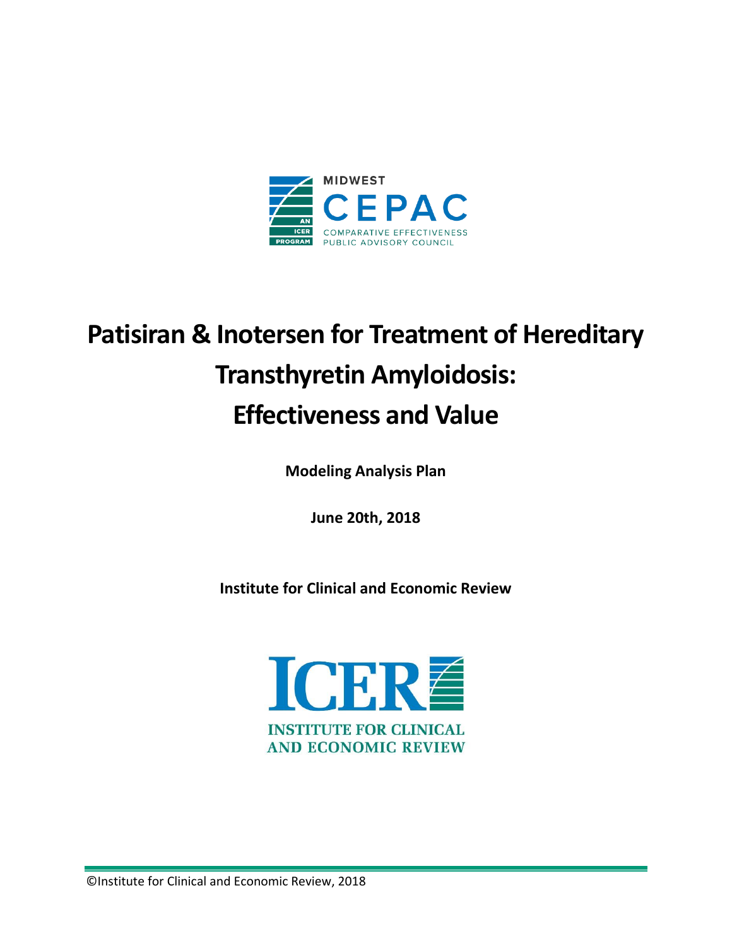

# **Patisiran & Inotersen for Treatment of Hereditary Transthyretin Amyloidosis: Effectiveness and Value**

**Modeling Analysis Plan**

**June 20th, 2018**

**Institute for Clinical and Economic Review**



©Institute for Clinical and Economic Review, 2018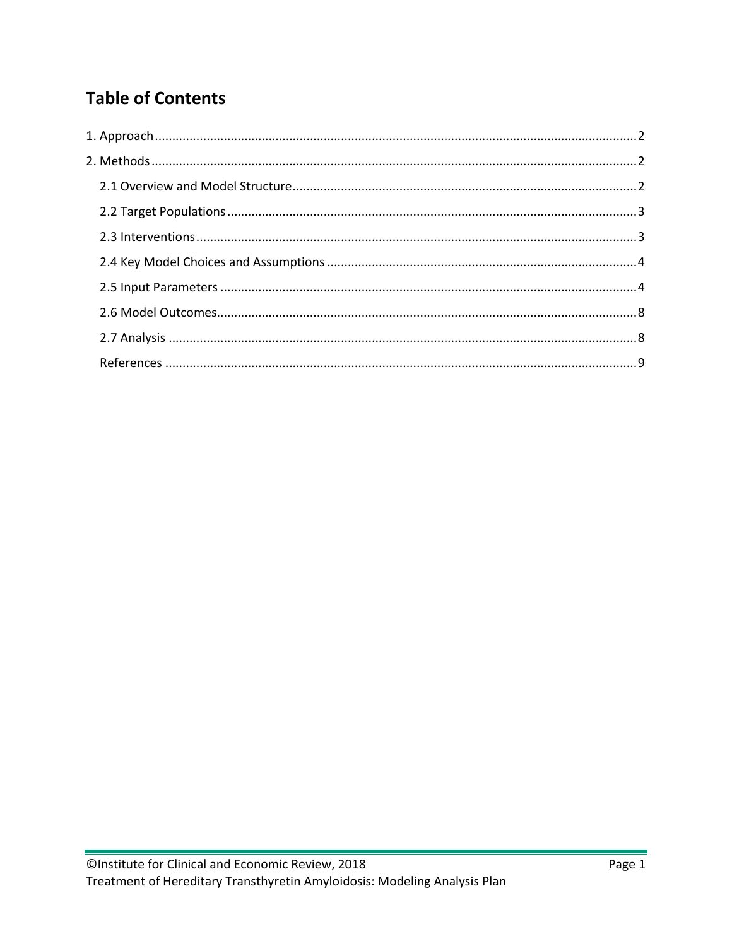# **Table of Contents**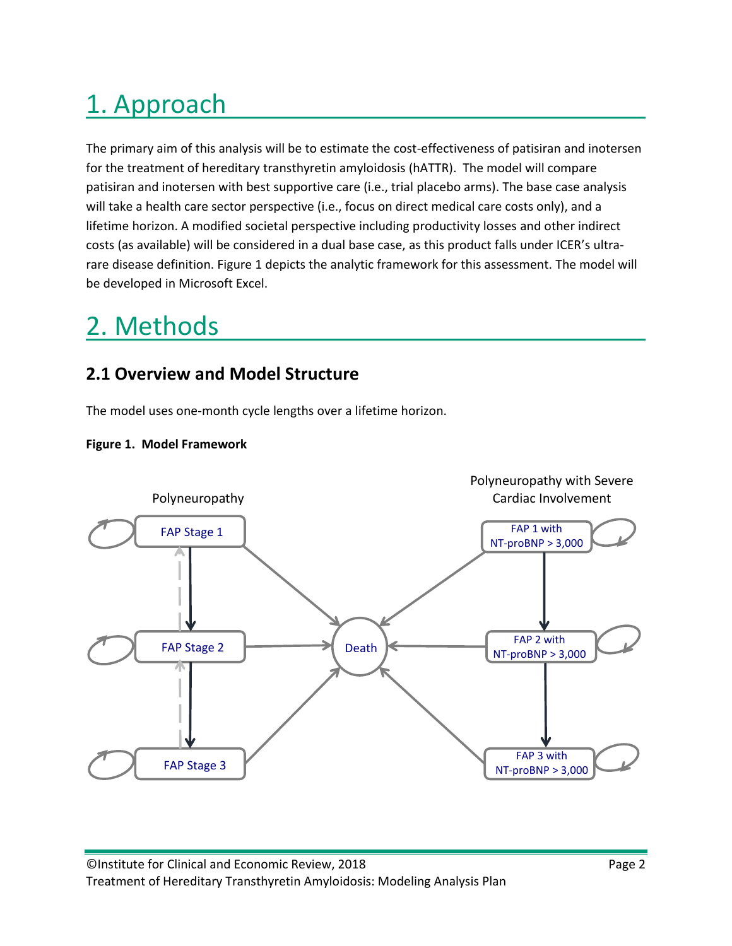# <span id="page-2-0"></span>1. Approach

The primary aim of this analysis will be to estimate the cost-effectiveness of patisiran and inotersen for the treatment of hereditary transthyretin amyloidosis (hATTR). The model will compare patisiran and inotersen with best supportive care (i.e., trial placebo arms). The base case analysis will take a health care sector perspective (i.e., focus on direct medical care costs only), and a lifetime horizon. A modified societal perspective including productivity losses and other indirect costs (as available) will be considered in a dual base case, as this product falls under ICER's ultrarare disease definition. Figure 1 depicts the analytic framework for this assessment. The model will be developed in Microsoft Excel.

# <span id="page-2-1"></span>2. Methods

# <span id="page-2-2"></span>**2.1 Overview and Model Structure**

The model uses one-month cycle lengths over a lifetime horizon.



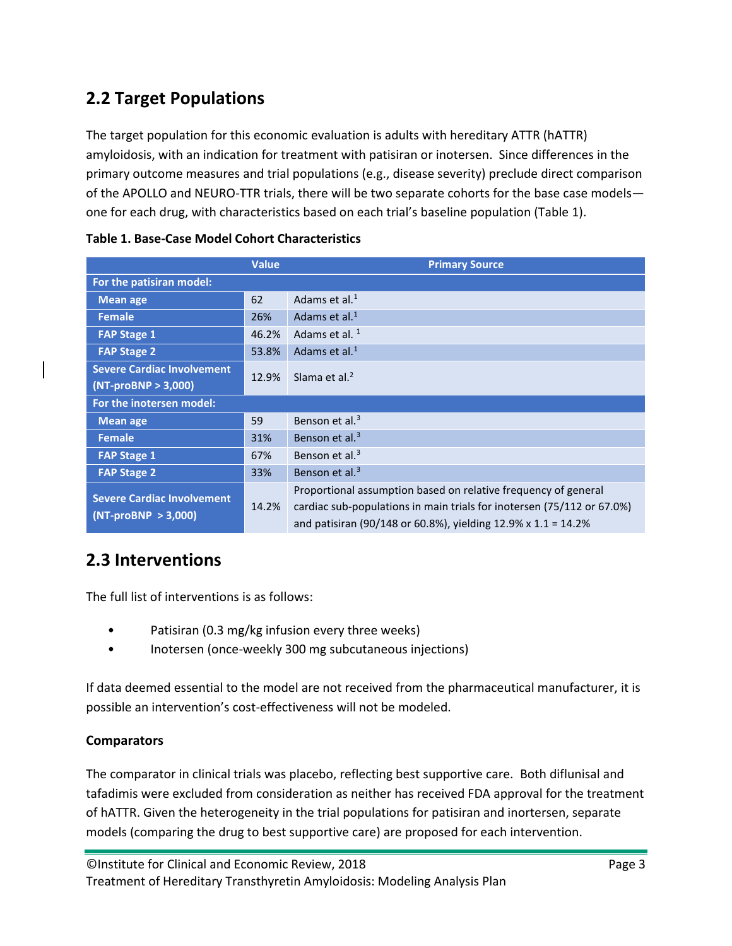# <span id="page-3-0"></span>**2.2 Target Populations**

The target population for this economic evaluation is adults with hereditary ATTR (hATTR) amyloidosis, with an indication for treatment with patisiran or inotersen. Since differences in the primary outcome measures and trial populations (e.g., disease severity) preclude direct comparison of the APOLLO and NEURO-TTR trials, there will be two separate cohorts for the base case models one for each drug, with characteristics based on each trial's baseline population (Table 1).

|                                                            | <b>Value</b> | <b>Primary Source</b>                                                                                                                                                                                     |
|------------------------------------------------------------|--------------|-----------------------------------------------------------------------------------------------------------------------------------------------------------------------------------------------------------|
| For the patisiran model:                                   |              |                                                                                                                                                                                                           |
| <b>Mean age</b>                                            | 62           | Adams et al. $1$                                                                                                                                                                                          |
| Female                                                     | 26%          | Adams et al. $1$                                                                                                                                                                                          |
| <b>FAP Stage 1</b>                                         | 46.2%        | Adams et al. <sup>1</sup>                                                                                                                                                                                 |
| <b>FAP Stage 2</b>                                         | 53.8%        | Adams et al. $1$                                                                                                                                                                                          |
| <b>Severe Cardiac Involvement</b>                          | 12.9%        | Slama et al. $2$                                                                                                                                                                                          |
| $(NT-proBNP > 3,000)$                                      |              |                                                                                                                                                                                                           |
| For the inotersen model:                                   |              |                                                                                                                                                                                                           |
| <b>Mean age</b>                                            | 59           | Benson et al. <sup>3</sup>                                                                                                                                                                                |
| <b>Female</b>                                              | 31%          | Benson et al. <sup>3</sup>                                                                                                                                                                                |
| <b>FAP Stage 1</b>                                         | 67%          | Benson et al. $3$                                                                                                                                                                                         |
| <b>FAP Stage 2</b>                                         | 33%          | Benson et al. <sup>3</sup>                                                                                                                                                                                |
| <b>Severe Cardiac Involvement</b><br>$(NT-proBNP > 3,000)$ | 14.2%        | Proportional assumption based on relative frequency of general<br>cardiac sub-populations in main trials for inotersen (75/112 or 67.0%)<br>and patisiran (90/148 or 60.8%), yielding 12.9% x 1.1 = 14.2% |

### **Table 1. Base-Case Model Cohort Characteristics**

# <span id="page-3-1"></span>**2.3 Interventions**

The full list of interventions is as follows:

- Patisiran (0.3 mg/kg infusion every three weeks)
- Inotersen (once-weekly 300 mg subcutaneous injections)

If data deemed essential to the model are not received from the pharmaceutical manufacturer, it is possible an intervention's cost-effectiveness will not be modeled.

## **Comparators**

The comparator in clinical trials was placebo, reflecting best supportive care. Both diflunisal and tafadimis were excluded from consideration as neither has received FDA approval for the treatment of hATTR. Given the heterogeneity in the trial populations for patisiran and inortersen, separate models (comparing the drug to best supportive care) are proposed for each intervention.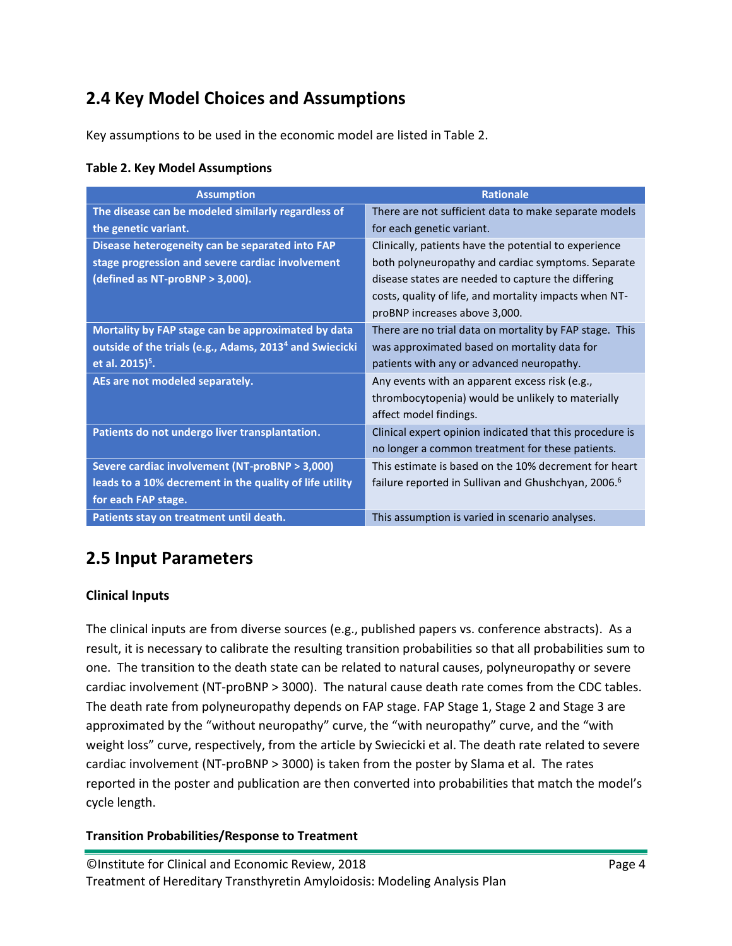# <span id="page-4-0"></span>**2.4 Key Model Choices and Assumptions**

Key assumptions to be used in the economic model are listed in Table 2.

| <b>Table 2. Key Model Assumptions</b> |  |  |  |  |
|---------------------------------------|--|--|--|--|
|---------------------------------------|--|--|--|--|

| <b>Assumption</b>                                                   | <b>Rationale</b>                                                |
|---------------------------------------------------------------------|-----------------------------------------------------------------|
| The disease can be modeled similarly regardless of                  | There are not sufficient data to make separate models           |
| the genetic variant.                                                | for each genetic variant.                                       |
| Disease heterogeneity can be separated into FAP                     | Clinically, patients have the potential to experience           |
| stage progression and severe cardiac involvement                    | both polyneuropathy and cardiac symptoms. Separate              |
| (defined as NT-proBNP > 3,000).                                     | disease states are needed to capture the differing              |
|                                                                     | costs, quality of life, and mortality impacts when NT-          |
|                                                                     | proBNP increases above 3,000.                                   |
| Mortality by FAP stage can be approximated by data                  | There are no trial data on mortality by FAP stage. This         |
| outside of the trials (e.g., Adams, 2013 <sup>4</sup> and Swiecicki | was approximated based on mortality data for                    |
| et al. 2015) <sup>5</sup> .                                         | patients with any or advanced neuropathy.                       |
| AEs are not modeled separately.                                     | Any events with an apparent excess risk (e.g.,                  |
|                                                                     | thrombocytopenia) would be unlikely to materially               |
|                                                                     | affect model findings.                                          |
| Patients do not undergo liver transplantation.                      | Clinical expert opinion indicated that this procedure is        |
|                                                                     | no longer a common treatment for these patients.                |
| Severe cardiac involvement (NT-proBNP > 3,000)                      | This estimate is based on the 10% decrement for heart           |
| leads to a 10% decrement in the quality of life utility             | failure reported in Sullivan and Ghushchyan, 2006. <sup>6</sup> |
| for each FAP stage.                                                 |                                                                 |
| Patients stay on treatment until death.                             | This assumption is varied in scenario analyses.                 |

# <span id="page-4-1"></span>**2.5 Input Parameters**

## **Clinical Inputs**

The clinical inputs are from diverse sources (e.g., published papers vs. conference abstracts). As a result, it is necessary to calibrate the resulting transition probabilities so that all probabilities sum to one. The transition to the death state can be related to natural causes, polyneuropathy or severe cardiac involvement (NT-proBNP > 3000). The natural cause death rate comes from the CDC tables. The death rate from polyneuropathy depends on FAP stage. FAP Stage 1, Stage 2 and Stage 3 are approximated by the "without neuropathy" curve, the "with neuropathy" curve, and the "with weight loss" curve, respectively, from the article by Swiecicki et al. The death rate related to severe cardiac involvement (NT-proBNP > 3000) is taken from the poster by Slama et al. The rates reported in the poster and publication are then converted into probabilities that match the model's cycle length.

#### **Transition Probabilities/Response to Treatment**

©Institute for Clinical and Economic Review, 2018 Page 4 Treatment of Hereditary Transthyretin Amyloidosis: Modeling Analysis Plan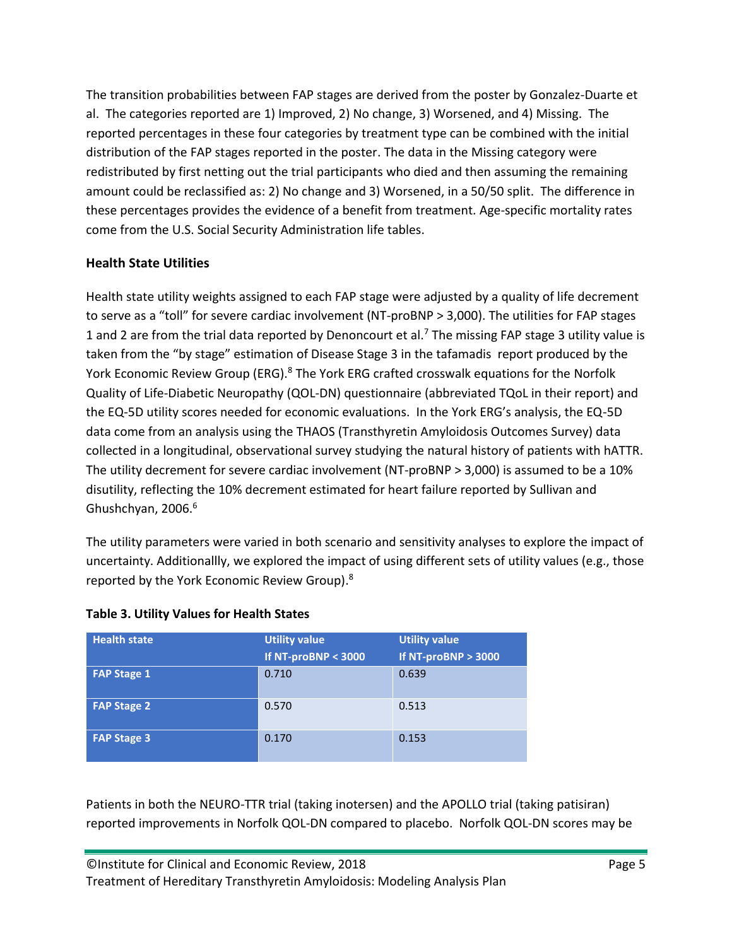The transition probabilities between FAP stages are derived from the poster by Gonzalez-Duarte et al. The categories reported are 1) Improved, 2) No change, 3) Worsened, and 4) Missing. The reported percentages in these four categories by treatment type can be combined with the initial distribution of the FAP stages reported in the poster. The data in the Missing category were redistributed by first netting out the trial participants who died and then assuming the remaining amount could be reclassified as: 2) No change and 3) Worsened, in a 50/50 split. The difference in these percentages provides the evidence of a benefit from treatment. Age-specific mortality rates come from the U.S. Social Security Administration life tables.

## **Health State Utilities**

Health state utility weights assigned to each FAP stage were adjusted by a quality of life decrement to serve as a "toll" for severe cardiac involvement (NT-proBNP > 3,000). The utilities for FAP stages 1 and 2 are from the trial data reported by Denoncourt et al[.](#page-9-7)<sup>7</sup> The missing FAP stage 3 utility value is taken from the "by stage" estimation of Disease Stage 3 in the tafamadis report produced by the York Economic Review Group (ERG).<sup>[8](#page-9-8)</sup> The York ERG crafted crosswalk equations for the Norfolk Quality of Life-Diabetic Neuropathy (QOL-DN) questionnaire (abbreviated TQoL in their report) and the EQ-5D utility scores needed for economic evaluations. In the York ERG's analysis, the EQ-5D data come from an analysis using the THAOS (Transthyretin Amyloidosis Outcomes Survey) data collected in a longitudinal, observational survey studying the natural history of patients with hATTR. The utility decrement for severe cardiac involvement (NT-proBNP > 3,000) is assumed to be a 10% disutility, reflecting the 10% decrement estimated for heart failure reported by Sullivan and Ghushchyan, 200[6](#page-9-6).<sup>6</sup>

The utility parameters were varied in both scenario and sensitivity analyses to explore the impact of uncertainty. Additionallly, we explored the impact of using different sets of utility values (e.g., those reported by the York Economic Review Group)[.](#page-9-8)<sup>8</sup>

| <b>Health state</b> | <b>Utility value</b><br>If NT-proBNP < 3000 | <b>Utility value</b><br>If NT-proBNP $> 3000$ |
|---------------------|---------------------------------------------|-----------------------------------------------|
| <b>FAP Stage 1</b>  | 0.710                                       | 0.639                                         |
| <b>FAP Stage 2</b>  | 0.570                                       | 0.513                                         |
| <b>FAP Stage 3</b>  | 0.170                                       | 0.153                                         |

#### **Table 3. Utility Values for Health States**

Patients in both the NEURO-TTR trial (taking inotersen) and the APOLLO trial (taking patisiran) reported improvements in Norfolk QOL-DN compared to placebo. Norfolk QOL-DN scores may be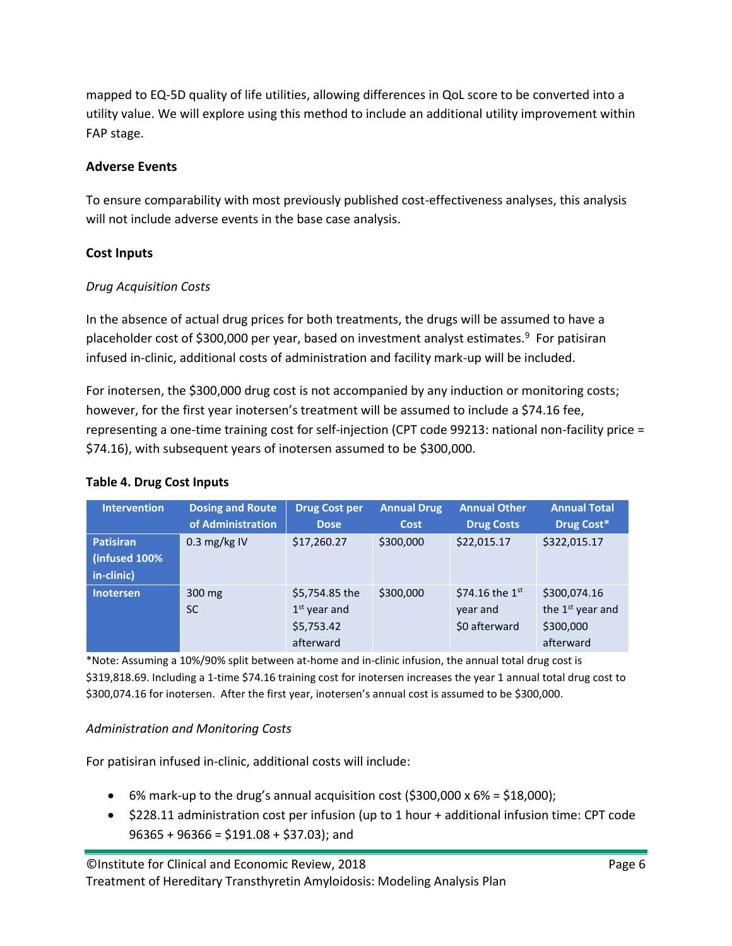mapped to EQ-5D quality of life utilities, allowing differences in QoL score to be converted into a utility value. We will explore using this method to include an additional utility improvement within FAP stage.

## **Adverse Events**

To ensure comparability with most previously published cost-effectiveness analyses, this analysis will not include adverse events in the base case analysis.

# **Cost Inputs**

## *Drug Acquisition Costs*

In the absence of actual drug prices for both treatments, the drugs will be assumed to have a placeholder cost of \$300,000 per year, based on investment analyst estimates.<sup>[9](#page-9-9)</sup> For patisiran infused in-clinic, additional costs of administration and facility mark-up will be included.

For inotersen, the \$300,000 drug cost is not accompanied by any induction or monitoring costs; however, for the first year inotersen's treatment will be assumed to include a \$74.16 fee, representing a one-time training cost for self-injection (CPT code 99213: national non-facility price = \$74.16), with subsequent years of inotersen assumed to be \$300,000.

| <b>Table 4. Drug Cost Inputs</b> |
|----------------------------------|
|----------------------------------|

| <b>Intervention</b> | <b>Dosing and Route</b> | <b>Drug Cost per</b> | <b>Annual Drug</b> | <b>Annual Other</b>         | <b>Annual Total</b>          |
|---------------------|-------------------------|----------------------|--------------------|-----------------------------|------------------------------|
|                     | of Administration       | <b>Dose</b>          | <b>Cost</b>        | <b>Drug Costs</b>           | Drug Cost*                   |
| <b>Patisiran</b>    | 0.3 mg/kg IV            | \$17,260.27          | \$300,000          | \$22,015.17                 | \$322,015.17                 |
| (infused 100%       |                         |                      |                    |                             |                              |
| in-clinic)          |                         |                      |                    |                             |                              |
| Inotersen           | 300 mg                  | \$5,754.85 the       | \$300,000          | \$74.16 the $1^{\text{st}}$ | \$300,074.16                 |
|                     | <b>SC</b>               | $1st$ year and       |                    | year and                    | the 1 <sup>st</sup> year and |
|                     |                         | \$5,753.42           |                    | \$0 afterward               | \$300,000                    |
|                     |                         | afterward            |                    |                             | afterward                    |

\*Note: Assuming a 10%/90% split between at-home and in-clinic infusion, the annual total drug cost is \$319,818.69. Including a 1-time \$74.16 training cost for inotersen increases the year 1 annual total drug cost to \$300,074.16 for inotersen. After the first year, inotersen's annual cost is assumed to be \$300,000.

## *Administration and Monitoring Costs*

For patisiran infused in-clinic, additional costs will include:

- 6% mark-up to the drug's annual acquisition cost  $(5300,000 \times 6\% = 518,000)$ ;
- \$228.11 administration cost per infusion (up to 1 hour + additional infusion time: CPT code  $96365 + 96366 = $191.08 + $37.03$ ; and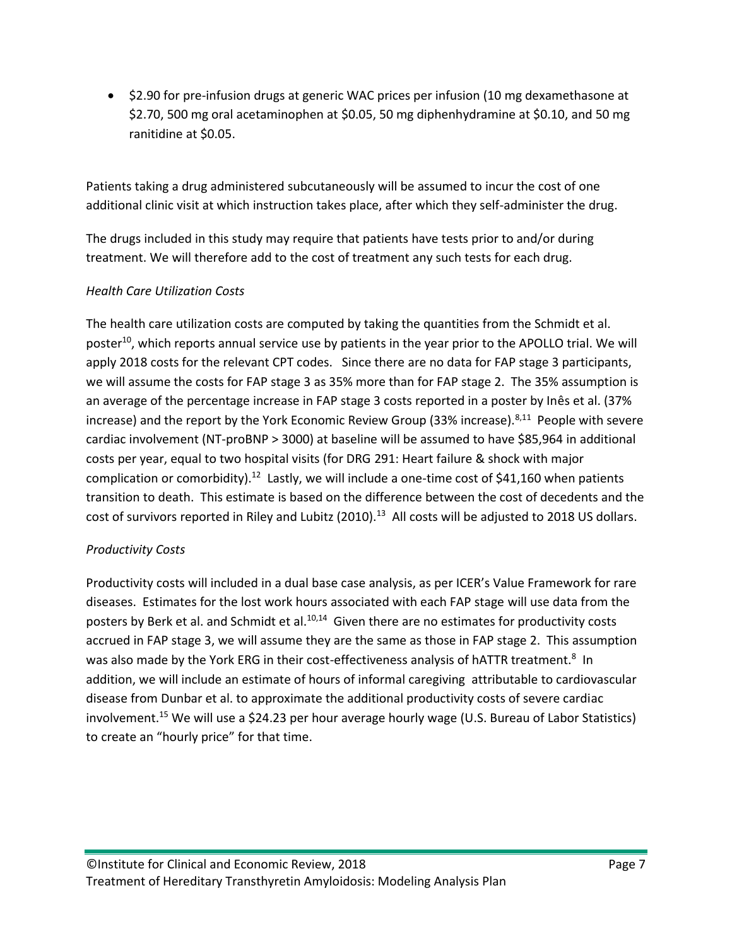• \$2.90 for pre-infusion drugs at generic WAC prices per infusion (10 mg dexamethasone at \$2.70, 500 mg oral acetaminophen at \$0.05, 50 mg diphenhydramine at \$0.10, and 50 mg ranitidine at \$0.05.

Patients taking a drug administered subcutaneously will be assumed to incur the cost of one additional clinic visit at which instruction takes place, after which they self-administer the drug.

The drugs included in this study may require that patients have tests prior to and/or during treatment. We will therefore add to the cost of treatment any such tests for each drug.

## *Health Care Utilization Costs*

The health care utilization costs are computed by taking the quantities from the Schmidt et al. poster<sup>[10](#page-9-10)</sup>, which reports annual service use by patients in the year prior to the APOLLO trial. We will apply 2018 costs for the relevant CPT codes. Since there are no data for FAP stage 3 participants, we will assume the costs for FAP stage 3 as 35% more than for FAP stage 2. The 35% assumption is an average of the percentage increase in FAP stage 3 costs reported in a poster by Inês et al. (37% increase) and the report by the York Economic Review Group (33% increase).<sup>[8,](#page-9-8)[11](#page-9-11)</sup> People with severe cardiac involvement (NT-proBNP > 3000) at baseline will be assumed to have \$85,964 in additional costs per year, equal to two hospital visits (for DRG 291: Heart failure & shock with major complication or comorbidity).<sup>[12](#page-9-12)</sup> Lastly, we will include a one-time cost of \$41,160 when patients transition to death. This estimate is based on the difference between the cost of decedents and the cost of survivors reported in Riley and Lubitz (2010).<sup>[13](#page-9-13)</sup> All costs will be adjusted to 2018 US dollars.

## *Productivity Costs*

Productivity costs will included in a dual base case analysis, as per ICER's Value Framework for rare diseases. Estimates for the lost work hours associated with each FAP stage will use data from the posters by Berk et al. and Schmidt et al.<sup>[10,](#page-9-10)[14](#page-9-14)</sup> Given there are no estimates for productivity costs accrued in FAP stage 3, we will assume they are the same as those in FAP stage 2. This assumption was also made by the York ERG in their cost-effectiveness analysis of hATTR treatment.<sup>[8](#page-9-8)</sup> In addition, we will include an estimate of hours of informal caregiving attributable to cardiovascular disease from Dunbar et al. to approximate the additional productivity costs of severe cardiac involvement.[15](#page-9-15) We will use a \$24.23 per hour average hourly wage (U.S. Bureau of Labor Statistics) to create an "hourly price" for that time.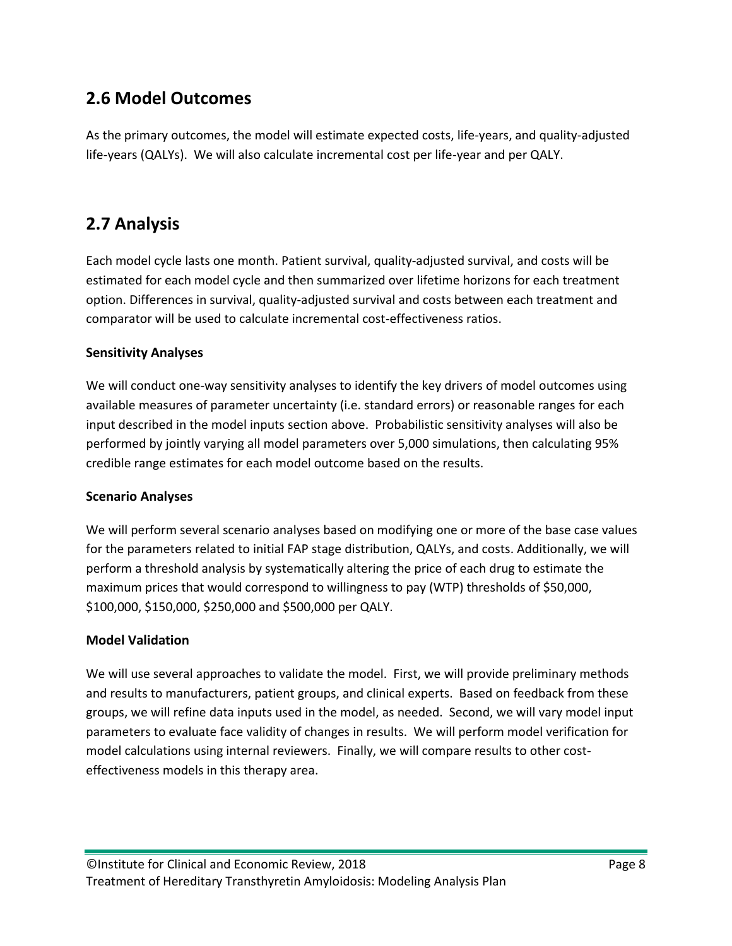# <span id="page-8-0"></span>**2.6 Model Outcomes**

As the primary outcomes, the model will estimate expected costs, life-years, and quality-adjusted life-years (QALYs). We will also calculate incremental cost per life-year and per QALY.

# <span id="page-8-1"></span>**2.7 Analysis**

Each model cycle lasts one month. Patient survival, quality-adjusted survival, and costs will be estimated for each model cycle and then summarized over lifetime horizons for each treatment option. Differences in survival, quality-adjusted survival and costs between each treatment and comparator will be used to calculate incremental cost-effectiveness ratios.

# **Sensitivity Analyses**

We will conduct one-way sensitivity analyses to identify the key drivers of model outcomes using available measures of parameter uncertainty (i.e. standard errors) or reasonable ranges for each input described in the model inputs section above. Probabilistic sensitivity analyses will also be performed by jointly varying all model parameters over 5,000 simulations, then calculating 95% credible range estimates for each model outcome based on the results.

## **Scenario Analyses**

We will perform several scenario analyses based on modifying one or more of the base case values for the parameters related to initial FAP stage distribution, QALYs, and costs. Additionally, we will perform a threshold analysis by systematically altering the price of each drug to estimate the maximum prices that would correspond to willingness to pay (WTP) thresholds of \$50,000, \$100,000, \$150,000, \$250,000 and \$500,000 per QALY.

## **Model Validation**

We will use several approaches to validate the model. First, we will provide preliminary methods and results to manufacturers, patient groups, and clinical experts. Based on feedback from these groups, we will refine data inputs used in the model, as needed. Second, we will vary model input parameters to evaluate face validity of changes in results. We will perform model verification for model calculations using internal reviewers. Finally, we will compare results to other costeffectiveness models in this therapy area.